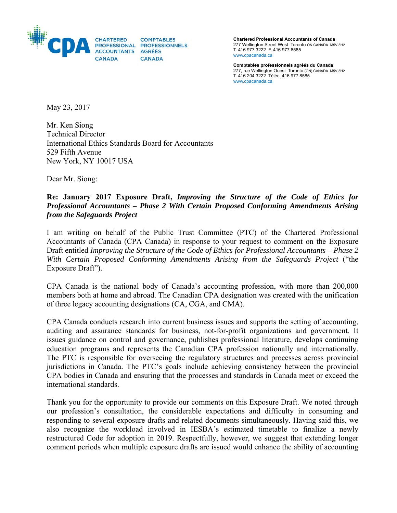

**Chartered Professional Accountants of Canada**  277 Wellington Street West Toronto ON CANADA M5V 3H2 T. 416 977.3222 F. 416 977.8585 www.cpacanada.ca

**Comptables professionnels agréés du Canada**  277, rue Wellington Ouest Toronto (ON) CANADA M5V 3H2 T. 416 204.3222 Téléc. 416 977.8585 www.cpacanada.ca

May 23, 2017

Mr. Ken Siong Technical Director International Ethics Standards Board for Accountants 529 Fifth Avenue New York, NY 10017 USA

Dear Mr. Siong:

### **Re: January 2017 Exposure Draft,** *Improving the Structure of the Code of Ethics for Professional Accountants – Phase 2 With Certain Proposed Conforming Amendments Arising from the Safeguards Project*

I am writing on behalf of the Public Trust Committee (PTC) of the Chartered Professional Accountants of Canada (CPA Canada) in response to your request to comment on the Exposure Draft entitled *Improving the Structure of the Code of Ethics for Professional Accountants – Phase 2 With Certain Proposed Conforming Amendments Arising from the Safeguards Project* ("the Exposure Draft")*.* 

CPA Canada is the national body of Canada's accounting profession, with more than 200,000 members both at home and abroad. The Canadian CPA designation was created with the unification of three legacy accounting designations (CA, CGA, and CMA).

CPA Canada conducts research into current business issues and supports the setting of accounting, auditing and assurance standards for business, not-for-profit organizations and government. It issues guidance on control and governance, publishes professional literature, develops continuing education programs and represents the Canadian CPA profession nationally and internationally. The PTC is responsible for overseeing the regulatory structures and processes across provincial jurisdictions in Canada. The PTC's goals include achieving consistency between the provincial CPA bodies in Canada and ensuring that the processes and standards in Canada meet or exceed the international standards.

Thank you for the opportunity to provide our comments on this Exposure Draft. We noted through our profession's consultation, the considerable expectations and difficulty in consuming and responding to several exposure drafts and related documents simultaneously. Having said this, we also recognize the workload involved in IESBA's estimated timetable to finalize a newly restructured Code for adoption in 2019. Respectfully, however, we suggest that extending longer comment periods when multiple exposure drafts are issued would enhance the ability of accounting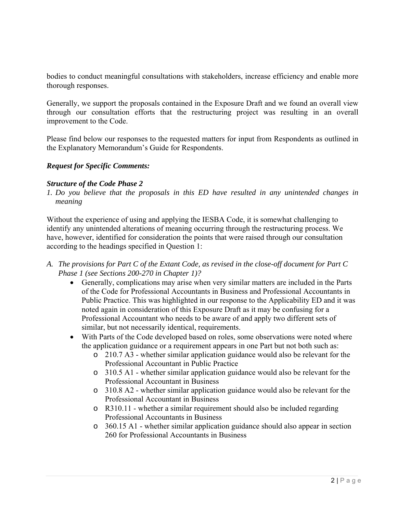bodies to conduct meaningful consultations with stakeholders, increase efficiency and enable more thorough responses.

Generally, we support the proposals contained in the Exposure Draft and we found an overall view through our consultation efforts that the restructuring project was resulting in an overall improvement to the Code.

Please find below our responses to the requested matters for input from Respondents as outlined in the Explanatory Memorandum's Guide for Respondents.

## *Request for Specific Comments:*

#### *Structure of the Code Phase 2*

*1. Do you believe that the proposals in this ED have resulted in any unintended changes in meaning* 

Without the experience of using and applying the IESBA Code, it is somewhat challenging to identify any unintended alterations of meaning occurring through the restructuring process. We have, however, identified for consideration the points that were raised through our consultation according to the headings specified in Question 1:

- *A. The provisions for Part C of the Extant Code, as revised in the close-off document for Part C Phase 1 (see Sections 200-270 in Chapter 1)?* 
	- Generally, complications may arise when very similar matters are included in the Parts of the Code for Professional Accountants in Business and Professional Accountants in Public Practice. This was highlighted in our response to the Applicability ED and it was noted again in consideration of this Exposure Draft as it may be confusing for a Professional Accountant who needs to be aware of and apply two different sets of similar, but not necessarily identical, requirements.
	- With Parts of the Code developed based on roles, some observations were noted where the application guidance or a requirement appears in one Part but not both such as:
		- o 210.7 A3 whether similar application guidance would also be relevant for the Professional Accountant in Public Practice
		- o 310.5 A1 whether similar application guidance would also be relevant for the Professional Accountant in Business
		- o 310.8 A2 whether similar application guidance would also be relevant for the Professional Accountant in Business
		- o R310.11 whether a similar requirement should also be included regarding Professional Accountants in Business
		- o 360.15 A1 whether similar application guidance should also appear in section 260 for Professional Accountants in Business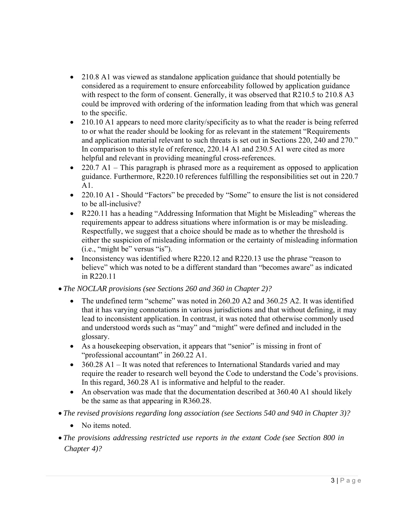- 210.8 A1 was viewed as standalone application guidance that should potentially be considered as a requirement to ensure enforceability followed by application guidance with respect to the form of consent. Generally, it was observed that R210.5 to 210.8 A3 could be improved with ordering of the information leading from that which was general to the specific.
- 210.10 A1 appears to need more clarity/specificity as to what the reader is being referred to or what the reader should be looking for as relevant in the statement "Requirements and application material relevant to such threats is set out in Sections 220, 240 and 270." In comparison to this style of reference, 220.14 A1 and 230.5 A1 were cited as more helpful and relevant in providing meaningful cross-references.
- $\bullet$  220.7 A1 This paragraph is phrased more as a requirement as opposed to application guidance. Furthermore, R220.10 references fulfilling the responsibilities set out in 220.7 A1.
- 220.10 A1 Should "Factors" be preceded by "Some" to ensure the list is not considered to be all-inclusive?
- R220.11 has a heading "Addressing Information that Might be Misleading" whereas the requirements appear to address situations where information is or may be misleading. Respectfully, we suggest that a choice should be made as to whether the threshold is either the suspicion of misleading information or the certainty of misleading information (i.e., "might be" versus "is").
- Inconsistency was identified where R220.12 and R220.13 use the phrase "reason to believe" which was noted to be a different standard than "becomes aware" as indicated in R220.11
- *The NOCLAR provisions (see Sections 260 and 360 in Chapter 2)?* 
	- The undefined term "scheme" was noted in 260.20 A2 and 360.25 A2. It was identified that it has varying connotations in various jurisdictions and that without defining, it may lead to inconsistent application. In contrast, it was noted that otherwise commonly used and understood words such as "may" and "might" were defined and included in the glossary.
	- As a housekeeping observation, it appears that "senior" is missing in front of "professional accountant" in 260.22 A1.
	- 360.28 A1 It was noted that references to International Standards varied and may require the reader to research well beyond the Code to understand the Code's provisions. In this regard, 360.28 A1 is informative and helpful to the reader.
	- An observation was made that the documentation described at 360.40 A1 should likely be the same as that appearing in R360.28.
- *The revised provisions regarding long association (see Sections 540 and 940 in Chapter 3)?* 
	- No items noted.
- *The provisions addressing restricted use reports in the extant Code (see Section 800 in Chapter 4)?*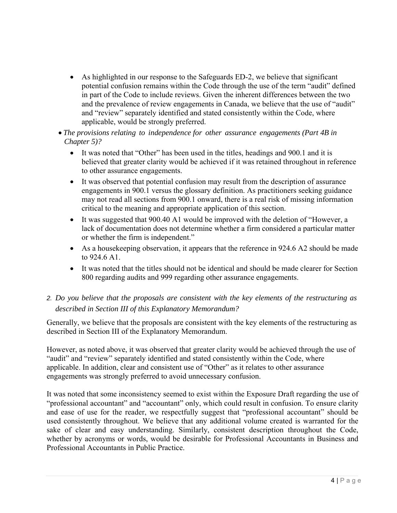- As highlighted in our response to the Safeguards ED-2, we believe that significant potential confusion remains within the Code through the use of the term "audit" defined in part of the Code to include reviews. Given the inherent differences between the two and the prevalence of review engagements in Canada, we believe that the use of "audit" and "review" separately identified and stated consistently within the Code, where applicable, would be strongly preferred.
- *The provisions relating to independence for other assurance engagements (Part 4B in Chapter 5)?* 
	- It was noted that "Other" has been used in the titles, headings and 900.1 and it is believed that greater clarity would be achieved if it was retained throughout in reference to other assurance engagements.
	- It was observed that potential confusion may result from the description of assurance engagements in 900.1 versus the glossary definition. As practitioners seeking guidance may not read all sections from 900.1 onward, there is a real risk of missing information critical to the meaning and appropriate application of this section.
	- It was suggested that 900.40 A1 would be improved with the deletion of "However, a lack of documentation does not determine whether a firm considered a particular matter or whether the firm is independent."
	- As a housekeeping observation, it appears that the reference in 924.6 A2 should be made to 924.6 A1.
	- It was noted that the titles should not be identical and should be made clearer for Section 800 regarding audits and 999 regarding other assurance engagements.
- *2. Do you believe that the proposals are consistent with the key elements of the restructuring as described in Section III of this Explanatory Memorandum?*

Generally, we believe that the proposals are consistent with the key elements of the restructuring as described in Section III of the Explanatory Memorandum.

However, as noted above, it was observed that greater clarity would be achieved through the use of "audit" and "review" separately identified and stated consistently within the Code, where applicable. In addition, clear and consistent use of "Other" as it relates to other assurance engagements was strongly preferred to avoid unnecessary confusion.

It was noted that some inconsistency seemed to exist within the Exposure Draft regarding the use of "professional accountant" and "accountant" only, which could result in confusion. To ensure clarity and ease of use for the reader, we respectfully suggest that "professional accountant" should be used consistently throughout. We believe that any additional volume created is warranted for the sake of clear and easy understanding. Similarly, consistent description throughout the Code, whether by acronyms or words, would be desirable for Professional Accountants in Business and Professional Accountants in Public Practice.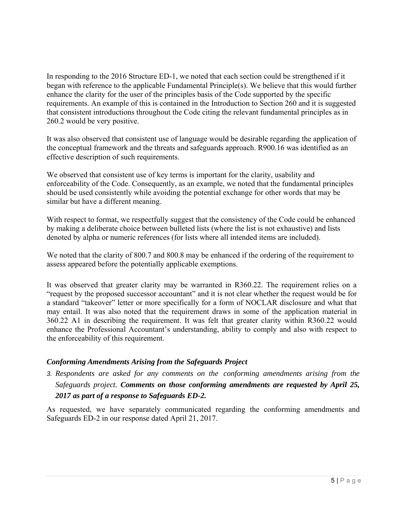In responding to the 2016 Structure ED-1, we noted that each section could be strengthened if it began with reference to the applicable Fundamental Principle(s). We believe that this would further enhance the clarity for the user of the principles basis of the Code supported by the specific requirements. An example of this is contained in the Introduction to Section 260 and it is suggested that consistent introductions throughout the Code citing the relevant fundamental principles as in 260.2 would be very positive.

It was also observed that consistent use of language would be desirable regarding the application of the conceptual framework and the threats and safeguards approach. R900.16 was identified as an effective description of such requirements.

We observed that consistent use of key terms is important for the clarity, usability and enforceability of the Code. Consequently, as an example, we noted that the fundamental principles should be used consistently while avoiding the potential exchange for other words that may be similar but have a different meaning.

With respect to format, we respectfully suggest that the consistency of the Code could be enhanced by making a deliberate choice between bulleted lists (where the list is not exhaustive) and lists denoted by alpha or numeric references (for lists where all intended items are included).

We noted that the clarity of 800.7 and 800.8 may be enhanced if the ordering of the requirement to assess appeared before the potentially applicable exemptions.

It was observed that greater clarity may be warranted in R360.22. The requirement relies on a "request by the proposed successor accountant" and it is not clear whether the request would be for a standard "takeover" letter or more specifically for a form of NOCLAR disclosure and what that may entail. It was also noted that the requirement draws in some of the application material in 360.22 A1 in describing the requirement. It was felt that greater clarity within R360.22 would enhance the Professional Accountant's understanding, ability to comply and also with respect to the enforceability of this requirement.

## *Conforming Amendments Arising from the Safeguards Project*

*3. Respondents are asked for any comments on the conforming amendments arising from the Safeguards project. Comments on those conforming amendments are requested by April 25, 2017 as part of a response to Safeguards ED-2.*

As requested, we have separately communicated regarding the conforming amendments and Safeguards ED-2 in our response dated April 21, 2017.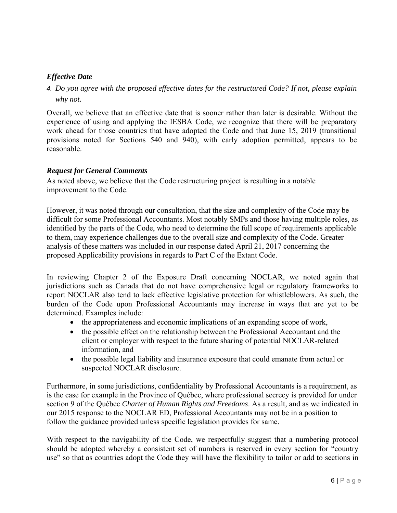# *Effective Date*

# *4. Do you agree with the proposed effective dates for the restructured Code? If not, please explain why not.*

Overall, we believe that an effective date that is sooner rather than later is desirable. Without the experience of using and applying the IESBA Code, we recognize that there will be preparatory work ahead for those countries that have adopted the Code and that June 15, 2019 (transitional provisions noted for Sections 540 and 940), with early adoption permitted, appears to be reasonable.

### *Request for General Comments*

As noted above, we believe that the Code restructuring project is resulting in a notable improvement to the Code.

However, it was noted through our consultation, that the size and complexity of the Code may be difficult for some Professional Accountants. Most notably SMPs and those having multiple roles, as identified by the parts of the Code, who need to determine the full scope of requirements applicable to them, may experience challenges due to the overall size and complexity of the Code. Greater analysis of these matters was included in our response dated April 21, 2017 concerning the proposed Applicability provisions in regards to Part C of the Extant Code.

In reviewing Chapter 2 of the Exposure Draft concerning NOCLAR, we noted again that jurisdictions such as Canada that do not have comprehensive legal or regulatory frameworks to report NOCLAR also tend to lack effective legislative protection for whistleblowers. As such, the burden of the Code upon Professional Accountants may increase in ways that are yet to be determined. Examples include:

- the appropriateness and economic implications of an expanding scope of work,
- the possible effect on the relationship between the Professional Accountant and the client or employer with respect to the future sharing of potential NOCLAR-related information, and
- the possible legal liability and insurance exposure that could emanate from actual or suspected NOCLAR disclosure.

Furthermore, in some jurisdictions, confidentiality by Professional Accountants is a requirement, as is the case for example in the Province of Québec, where professional secrecy is provided for under section 9 of the Québec *Charter of Human Rights and Freedoms*. As a result, and as we indicated in our 2015 response to the NOCLAR ED, Professional Accountants may not be in a position to follow the guidance provided unless specific legislation provides for same.

With respect to the navigability of the Code, we respectfully suggest that a numbering protocol should be adopted whereby a consistent set of numbers is reserved in every section for "country use" so that as countries adopt the Code they will have the flexibility to tailor or add to sections in